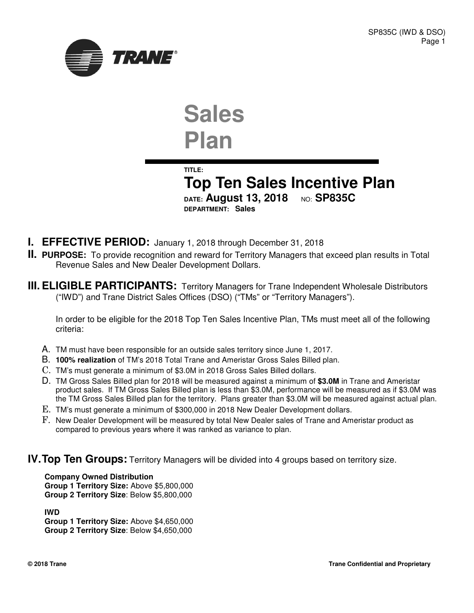

# **Sales Plan**

**TITLE:**

**Top Ten Sales Incentive Plan DATE:** August 13, 2018 NO: SP835C **DEPARTMENT: Sales**

- **I. EFFECTIVE PERIOD:** January 1, 2018 through December 31, 2018
- **II. PURPOSE:** To provide recognition and reward for Territory Managers that exceed plan results in Total Revenue Sales and New Dealer Development Dollars.
- **III. ELIGIBLE PARTICIPANTS:** Territory Managers for Trane Independent Wholesale Distributors ("IWD") and Trane District Sales Offices (DSO) ("TMs" or "Territory Managers").

In order to be eligible for the 2018 Top Ten Sales Incentive Plan, TMs must meet all of the following criteria:

- A. TM must have been responsible for an outside sales territory since June 1, 2017.
- B. **100% realization** of TM's 2018 Total Trane and Ameristar Gross Sales Billed plan.
- C. TM's must generate a minimum of \$3.0M in 2018 Gross Sales Billed dollars.
- D. TM Gross Sales Billed plan for 2018 will be measured against a minimum of **\$3.0M** in Trane and Ameristar product sales. If TM Gross Sales Billed plan is less than \$3.0M, performance will be measured as if \$3.0M was the TM Gross Sales Billed plan for the territory. Plans greater than \$3.0M will be measured against actual plan.
- E. TM's must generate a minimum of \$300,000 in 2018 New Dealer Development dollars.
- F. New Dealer Development will be measured by total New Dealer sales of Trane and Ameristar product as compared to previous years where it was ranked as variance to plan.

## **IV. Top Ten Groups:** Territory Managers will be divided into 4 groups based on territory size.

**Company Owned Distribution Group 1 Territory Size:** Above \$5,800,000 **Group 2 Territory Size**: Below \$5,800,000

**IWD Group 1 Territory Size:** Above \$4,650,000 **Group 2 Territory Size**: Below \$4,650,000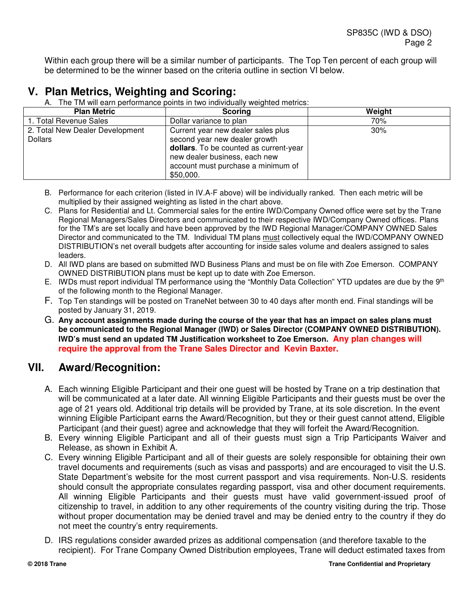Within each group there will be a similar number of participants. The Top Ten percent of each group will be determined to be the winner based on the criteria outline in section VI below.

# **V. Plan Metrics, Weighting and Scoring:**

A. The TM will earn performance points in two individually weighted metrics:

| <b>Plan Metric</b>              | <b>Scoring</b>                         | Weight |
|---------------------------------|----------------------------------------|--------|
| 1. Total Revenue Sales          | Dollar variance to plan                | 70%    |
| 2. Total New Dealer Development | Current year new dealer sales plus     | 30%    |
| <b>Dollars</b>                  | second year new dealer growth          |        |
|                                 | dollars. To be counted as current-year |        |
|                                 | new dealer business, each new          |        |
|                                 | account must purchase a minimum of     |        |
|                                 | \$50,000.                              |        |

- B. Performance for each criterion (listed in IV.A-F above) will be individually ranked. Then each metric will be multiplied by their assigned weighting as listed in the chart above.
- C. Plans for Residential and Lt. Commercial sales for the entire IWD/Company Owned office were set by the Trane Regional Managers/Sales Directors and communicated to their respective IWD/Company Owned offices. Plans for the TM's are set locally and have been approved by the IWD Regional Manager/COMPANY OWNED Sales Director and communicated to the TM. Individual TM plans must collectively equal the IWD/COMPANY OWNED DISTRIBUTION's net overall budgets after accounting for inside sales volume and dealers assigned to sales leaders.
- D. All IWD plans are based on submitted IWD Business Plans and must be on file with Zoe Emerson. COMPANY OWNED DISTRIBUTION plans must be kept up to date with Zoe Emerson.
- E. IWDs must report individual TM performance using the "Monthly Data Collection" YTD updates are due by the 9<sup>th</sup> of the following month to the Regional Manager.
- F. Top Ten standings will be posted on TraneNet between 30 to 40 days after month end. Final standings will be posted by January 31, 2019.
- G. **Any account assignments made during the course of the year that has an impact on sales plans must be communicated to the Regional Manager (IWD) or Sales Director (COMPANY OWNED DISTRIBUTION). IWD's must send an updated TM Justification worksheet to Zoe Emerson. Any plan changes will require the approval from the Trane Sales Director and Kevin Baxter.**

# **VII. Award/Recognition:**

- A. Each winning Eligible Participant and their one guest will be hosted by Trane on a trip destination that will be communicated at a later date. All winning Eligible Participants and their guests must be over the age of 21 years old. Additional trip details will be provided by Trane, at its sole discretion. In the event winning Eligible Participant earns the Award/Recognition, but they or their guest cannot attend, Eligible Participant (and their guest) agree and acknowledge that they will forfeit the Award/Recognition.
- B. Every winning Eligible Participant and all of their guests must sign a Trip Participants Waiver and Release, as shown in Exhibit A.
- C. Every winning Eligible Participant and all of their guests are solely responsible for obtaining their own travel documents and requirements (such as visas and passports) and are encouraged to visit the U.S. State Department's website for the most current passport and visa requirements. Non-U.S. residents should consult the appropriate consulates regarding passport, visa and other document requirements. All winning Eligible Participants and their guests must have valid government-issued proof of citizenship to travel, in addition to any other requirements of the country visiting during the trip. Those without proper documentation may be denied travel and may be denied entry to the country if they do not meet the country's entry requirements.
- D. IRS regulations consider awarded prizes as additional compensation (and therefore taxable to the recipient). For Trane Company Owned Distribution employees, Trane will deduct estimated taxes from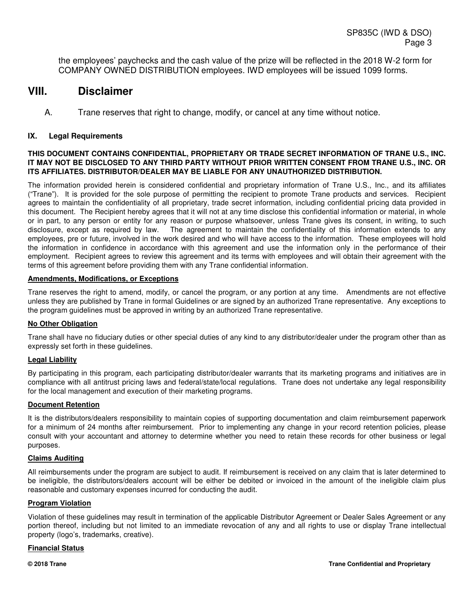the employees' paychecks and the cash value of the prize will be reflected in the 2018 W-2 form for COMPANY OWNED DISTRIBUTION employees. IWD employees will be issued 1099 forms.

# **VIII. Disclaimer**

A. Trane reserves that right to change, modify, or cancel at any time without notice.

#### **IX. Legal Requirements**

#### **THIS DOCUMENT CONTAINS CONFIDENTIAL, PROPRIETARY OR TRADE SECRET INFORMATION OF TRANE U.S., INC. IT MAY NOT BE DISCLOSED TO ANY THIRD PARTY WITHOUT PRIOR WRITTEN CONSENT FROM TRANE U.S., INC. OR ITS AFFILIATES. DISTRIBUTOR/DEALER MAY BE LIABLE FOR ANY UNAUTHORIZED DISTRIBUTION.**

The information provided herein is considered confidential and proprietary information of Trane U.S., Inc., and its affiliates ("Trane"). It is provided for the sole purpose of permitting the recipient to promote Trane products and services. Recipient agrees to maintain the confidentiality of all proprietary, trade secret information, including confidential pricing data provided in this document. The Recipient hereby agrees that it will not at any time disclose this confidential information or material, in whole or in part, to any person or entity for any reason or purpose whatsoever, unless Trane gives its consent, in writing, to such disclosure, except as required by law. The agreement to maintain the confidentiality of this information extends to any employees, pre or future, involved in the work desired and who will have access to the information. These employees will hold the information in confidence in accordance with this agreement and use the information only in the performance of their employment. Recipient agrees to review this agreement and its terms with employees and will obtain their agreement with the terms of this agreement before providing them with any Trane confidential information.

#### **Amendments, Modifications, or Exceptions**

Trane reserves the right to amend, modify, or cancel the program, or any portion at any time. Amendments are not effective unless they are published by Trane in formal Guidelines or are signed by an authorized Trane representative. Any exceptions to the program guidelines must be approved in writing by an authorized Trane representative.

#### **No Other Obligation**

Trane shall have no fiduciary duties or other special duties of any kind to any distributor/dealer under the program other than as expressly set forth in these guidelines.

#### **Legal Liability**

By participating in this program, each participating distributor/dealer warrants that its marketing programs and initiatives are in compliance with all antitrust pricing laws and federal/state/local regulations. Trane does not undertake any legal responsibility for the local management and execution of their marketing programs.

#### **Document Retention**

It is the distributors/dealers responsibility to maintain copies of supporting documentation and claim reimbursement paperwork for a minimum of 24 months after reimbursement. Prior to implementing any change in your record retention policies, please consult with your accountant and attorney to determine whether you need to retain these records for other business or legal purposes.

#### **Claims Auditing**

All reimbursements under the program are subject to audit. If reimbursement is received on any claim that is later determined to be ineligible, the distributors/dealers account will be either be debited or invoiced in the amount of the ineligible claim plus reasonable and customary expenses incurred for conducting the audit.

#### **Program Violation**

Violation of these guidelines may result in termination of the applicable Distributor Agreement or Dealer Sales Agreement or any portion thereof, including but not limited to an immediate revocation of any and all rights to use or display Trane intellectual property (logo's, trademarks, creative).

#### **Financial Status**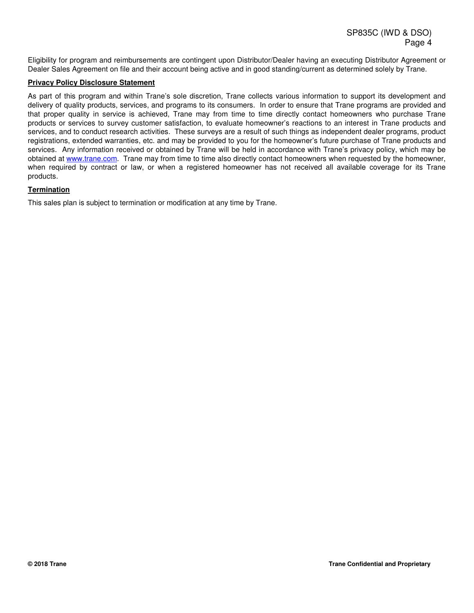Eligibility for program and reimbursements are contingent upon Distributor/Dealer having an executing Distributor Agreement or Dealer Sales Agreement on file and their account being active and in good standing/current as determined solely by Trane.

#### **Privacy Policy Disclosure Statement**

As part of this program and within Trane's sole discretion, Trane collects various information to support its development and delivery of quality products, services, and programs to its consumers. In order to ensure that Trane programs are provided and that proper quality in service is achieved, Trane may from time to time directly contact homeowners who purchase Trane products or services to survey customer satisfaction, to evaluate homeowner's reactions to an interest in Trane products and services, and to conduct research activities. These surveys are a result of such things as independent dealer programs, product registrations, extended warranties, etc. and may be provided to you for the homeowner's future purchase of Trane products and services. Any information received or obtained by Trane will be held in accordance with Trane's privacy policy, which may be obtained at www.trane.com. Trane may from time to time also directly contact homeowners when requested by the homeowner, when required by contract or law, or when a registered homeowner has not received all available coverage for its Trane products.

#### **Termination**

This sales plan is subject to termination or modification at any time by Trane.